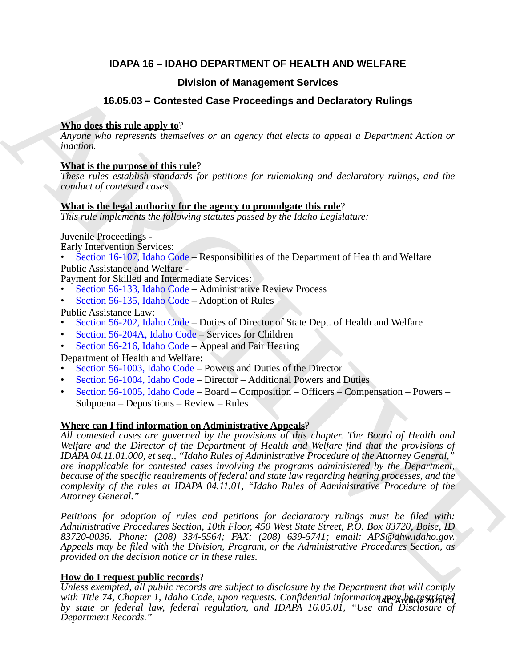# **IDAPA 16 – IDAHO DEPARTMENT OF HEALTH AND WELFARE**

# **Division of Management Services**

# **16.05.03 – Contested Case Proceedings and Declaratory Rulings**

# **Who does this rule apply to**?

*Anyone who represents themselves or an agency that elects to appeal a Department Action or inaction.*

# **What is the purpose of this rule**?

*These rules establish standards for petitions for rulemaking and declaratory rulings, and the conduct of contested cases.*

## **What is the legal authority for the agency to promulgate this rule**?

*This rule implements the following statutes passed by the Idaho Legislature:*

Juvenile Proceedings -

Early Intervention Services:

• Section 16-107, Idaho Code – Responsibilities of the Department of Health and Welfare Public Assistance and Welfare -

Payment for Skilled and Intermediate Services:

- Section 56-133, Idaho Code Administrative Review Process
- Section 56-135, Idaho Code Adoption of Rules

Public Assistance Law:

- Section 56-202, Idaho Code Duties of Director of State Dept. of Health and Welfare
- Section 56-204A, Idaho Code Services for Children
- Section 56-216, Idaho Code Appeal and Fair Hearing

Department of Health and Welfare:

- Section 56-1003, Idaho Code Powers and Duties of the Director
- Section 56-1004, Idaho Code Director Additional Powers and Duties
- Section 56-1005, Idaho Code Board Composition Officers Compensation Powers Subpoena – Depositions – Review – Rules

# **Where can I find information on Administrative Appeals**?

**16.05.03 [C](https://legislature.idaho.gov/statutesrules/idstat/Title56/T56CH2/SECT56-204A/)hristian of Management Services**<br> **16.05.03 - Corrected Case Proceedings and Declaratory [R](https://legislature.idaho.gov/statutesrules/idstat/Title16/T16CH1/SECT16-107/)ulings**<br> **Anywer in the angle to the correct interaction of the correct in the correct of the correction of the correc** *All contested cases are governed by the provisions of this chapter. The Board of Health and Welfare and the Director of the Department of Health and Welfare find that the provisions of IDAPA 04.11.01.000, et seq., "Idaho Rules of Administrative Procedure of the Attorney General," are inapplicable for contested cases involving the programs administered by the Department, because of the specific requirements of federal and state law regarding hearing processes, and the complexity of the rules at IDAPA 04.11.01, "Idaho Rules of Administrative Procedure of the Attorney General."*

*Petitions for adoption of rules and petitions for declaratory rulings must be filed with: Administrative Procedures Section, 10th Floor, 450 West State Street, P.O. Box 83720, Boise, ID 83720-0036. Phone: (208) 334-5564; FAX: (208) 639-5741; email: APS@dhw.idaho.gov. Appeals may be filed with the Division, Program, or the Administrative Procedures Section, as provided on the decision notice or in these rules.*

# **How do I request public records**?

*Unless exempted, all public records are subject to disclosure by the Department that will comply* with Title 74, Chapter 1, Idaho Code, upon requests. Confidential information nay be restricted *by state or federal law, federal regulation, and IDAPA 16.05.01, "Use and Disclosure of Department Records."*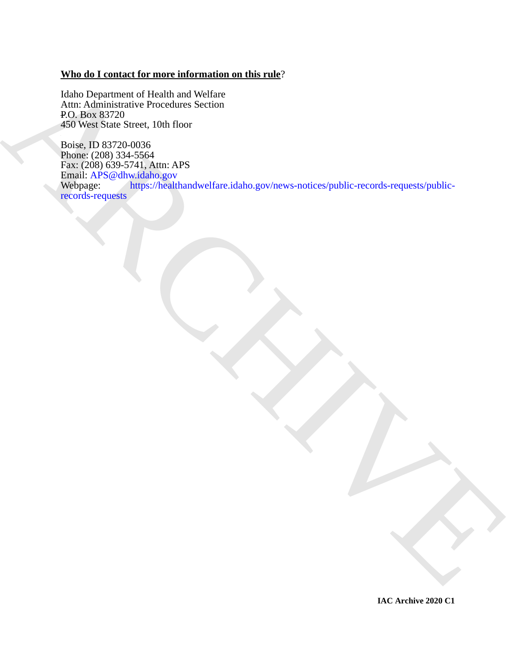# **Who do I contact for more information on this rule**?

Idaho Department of Health and Welfare Attn: Administrative Procedures Section P.O. Box 83720 450 West State Street, 10th floor

The Department of Health and Wichita<br> [A](https://healthandwelfare.idaho.gov/news-notices/public-records-requests/public-records-requests)[R](mailto:APS@dhw.idaho.gov)CHIVES Control and Wichita<br>
ARCHIVES Care Street, 10th floor<br>
4.60 West Start Street, 10th floor<br>
The Health Control and Wichita and Wichita<br>
The Health Archives Care Street, 19th an Boise, ID 83720-0036 Phone: (208) 334-5564 Fax: (208) 639-5741, Attn: APS Email: APS@dhw.idaho.gov<br>Webpage: https://healtl https://healthandwelfare.idaho.gov/news-notices/public-records-requests/publicrecords-requests

**IAC Archive 2020 C1**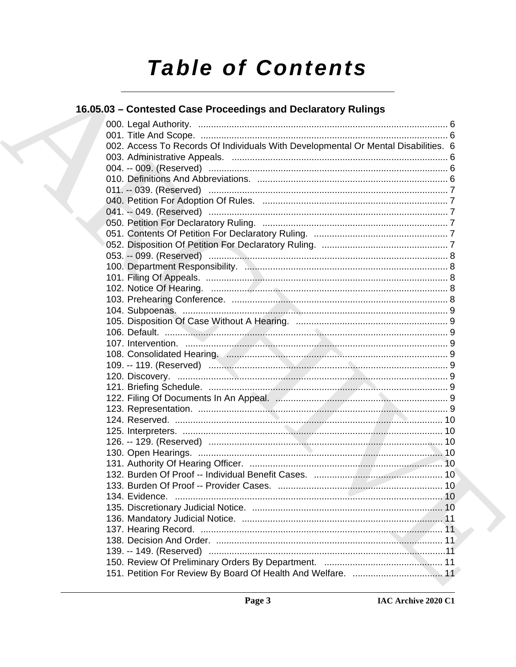# **Table of Contents**

# 16.05.03 - Contested Case Proceedings and Declaratory Rulings

|  | 002. Access To Records Of Individuals With Developmental Or Mental Disabilities. 6 |  |
|--|------------------------------------------------------------------------------------|--|
|  |                                                                                    |  |
|  |                                                                                    |  |
|  |                                                                                    |  |
|  |                                                                                    |  |
|  |                                                                                    |  |
|  |                                                                                    |  |
|  |                                                                                    |  |
|  |                                                                                    |  |
|  |                                                                                    |  |
|  |                                                                                    |  |
|  |                                                                                    |  |
|  |                                                                                    |  |
|  |                                                                                    |  |
|  |                                                                                    |  |
|  |                                                                                    |  |
|  |                                                                                    |  |
|  |                                                                                    |  |
|  |                                                                                    |  |
|  |                                                                                    |  |
|  |                                                                                    |  |
|  |                                                                                    |  |
|  |                                                                                    |  |
|  |                                                                                    |  |
|  |                                                                                    |  |
|  |                                                                                    |  |
|  |                                                                                    |  |
|  |                                                                                    |  |
|  |                                                                                    |  |
|  |                                                                                    |  |
|  |                                                                                    |  |
|  |                                                                                    |  |
|  |                                                                                    |  |
|  |                                                                                    |  |
|  |                                                                                    |  |
|  |                                                                                    |  |
|  |                                                                                    |  |
|  |                                                                                    |  |
|  |                                                                                    |  |
|  |                                                                                    |  |
|  |                                                                                    |  |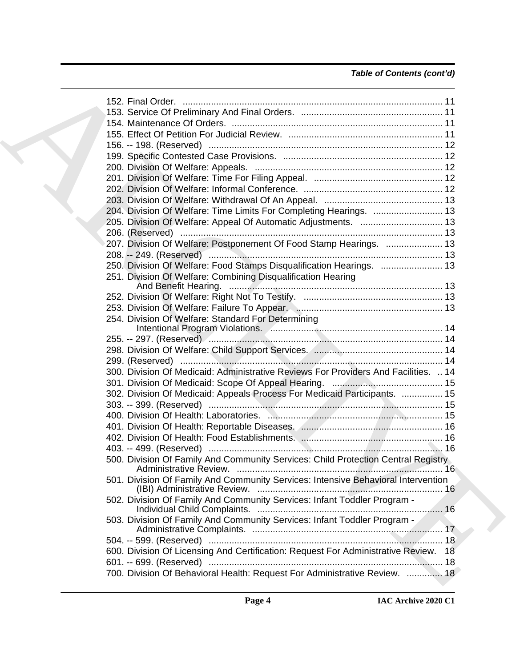# *Table of Contents (cont'd)*

| 204. Division Of Welfare: Time Limits For Completing Hearings.  13                  |  |
|-------------------------------------------------------------------------------------|--|
|                                                                                     |  |
|                                                                                     |  |
| 207. Division Of Welfare: Postponement Of Food Stamp Hearings.  13                  |  |
|                                                                                     |  |
| 250. Division Of Welfare: Food Stamps Disqualification Hearings.  13                |  |
| 251. Division Of Welfare: Combining Disqualification Hearing                        |  |
|                                                                                     |  |
|                                                                                     |  |
|                                                                                     |  |
| 254. Division Of Welfare: Standard For Determining                                  |  |
|                                                                                     |  |
|                                                                                     |  |
|                                                                                     |  |
|                                                                                     |  |
| 300. Division Of Medicaid: Administrative Reviews For Providers And Facilities.  14 |  |
|                                                                                     |  |
| 302. Division Of Medicaid: Appeals Process For Medicaid Participants.  15           |  |
|                                                                                     |  |
|                                                                                     |  |
|                                                                                     |  |
|                                                                                     |  |
|                                                                                     |  |
| 500. Division Of Family And Community Services: Child Protection Central Registry   |  |
| 501. Division Of Family And Community Services: Intensive Behavioral Intervention   |  |
| 502. Division Of Family And Community Services: Infant Toddler Program -            |  |
| 503. Division Of Family And Community Services: Infant Toddler Program -            |  |
|                                                                                     |  |
| 600. Division Of Licensing And Certification: Request For Administrative Review. 18 |  |
|                                                                                     |  |
| 700. Division Of Behavioral Health: Request For Administrative Review.  18          |  |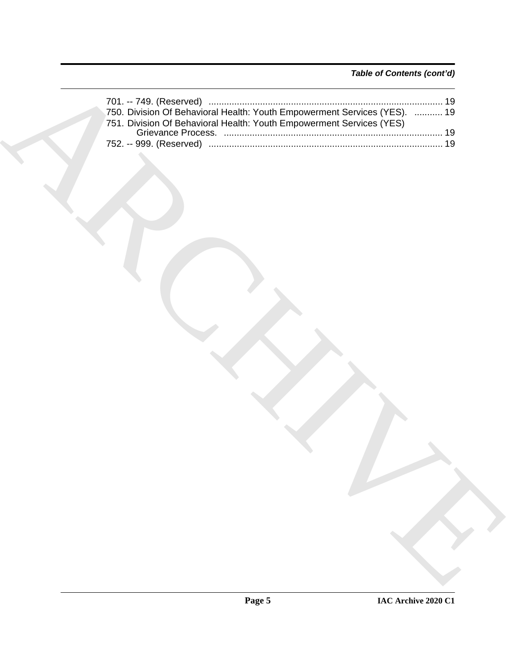# *Table of Contents (cont'd)*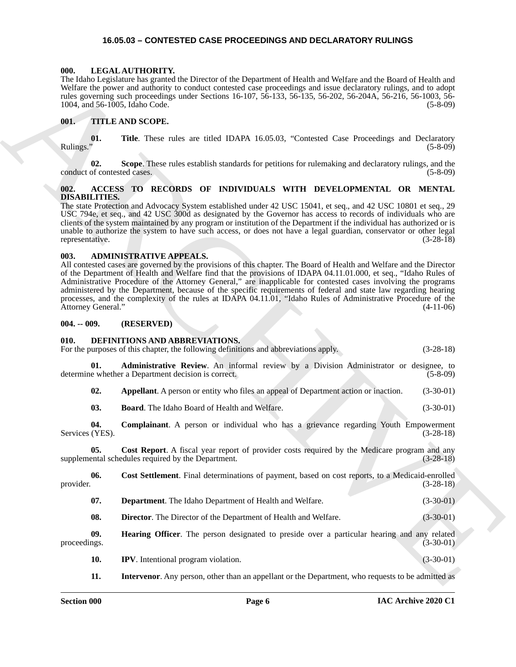#### <span id="page-5-21"></span>**16.05.03 – CONTESTED CASE PROCEEDINGS AND DECLARATORY RULINGS**

#### <span id="page-5-1"></span><span id="page-5-0"></span>**000. LEGAL AUTHORITY.**

The Idaho Legislature has granted the Director of the Department of Health and Welfare and the Board of Health and Welfare the power and authority to conduct contested case proceedings and issue declaratory rulings, and to adopt rules governing such proceedings under Sections 16-107, 56-133, 56-135, 56-202, 56-204A, 56-216, 56-1003, 56- 1004, and 56-1005, Idaho Code. (5-8-09)

#### <span id="page-5-22"></span><span id="page-5-2"></span>**001. TITLE AND SCOPE.**

**01.** Title. These rules are titled IDAPA 16.05.03, "Contested Case Proceedings and Declaratory (5-8-09) Rulings." (5-8-09)

**02.** Scope. These rules establish standards for petitions for rulemaking and declaratory rulings, and the of contested cases. (5-8-09) conduct of contested cases.

#### <span id="page-5-7"></span><span id="page-5-3"></span>**002. ACCESS TO RECORDS OF INDIVIDUALS WITH DEVELOPMENTAL OR MENTAL DISABILITIES.**

The state Protection and Advocacy System established under 42 USC 15041, et seq., and 42 USC 10801 et seq., 29 USC 794e, et seq., and 42 USC 300d as designated by the Governor has access to records of individuals who are clients of the system maintained by any program or institution of the Department if the individual has authorized or is unable to authorize the system to have such access, or does not have a legal guardian, conservator or other legal representative. (3-28-18) representative.

#### <span id="page-5-8"></span><span id="page-5-4"></span>**003. ADMINISTRATIVE APPEALS.**

All contested cases are governed by the provisions of this chapter. The Board of Health and Welfare and the Director of the Department of Health and Welfare find that the provisions of IDAPA 04.11.01.000, et seq., "Idaho Rules of Administrative Procedure of the Attorney General," are inapplicable for contested cases involving the programs administered by the Department, because of the specific requirements of federal and state law regarding hearing processes, and the complexity of the rules at IDAPA 04.11.01, "Idaho Rules of Administrative Procedure of the Attorney General." (4-11-06)

#### <span id="page-5-5"></span>**004. -- 009. (RESERVED)**

#### <span id="page-5-20"></span><span id="page-5-19"></span><span id="page-5-18"></span><span id="page-5-17"></span><span id="page-5-16"></span><span id="page-5-15"></span><span id="page-5-14"></span><span id="page-5-13"></span><span id="page-5-12"></span><span id="page-5-11"></span><span id="page-5-10"></span><span id="page-5-9"></span><span id="page-5-6"></span>**010. DEFINITIONS AND ABBREVIATIONS.**

The block system associate the December of the Popularis of Highlin and Wolfers and the Branch of Euckle<br>
The Ref. 2008 Section 16:10, Section 16:10, Section 16:10, Section 20:10, Section 20:10, Section 20:10, Section 20: For the purposes of this chapter, the following definitions and abbreviations apply. (3-28-18) **01. Administrative Review**. An informal review by a Division Administrator or designee, to determine whether a Department decision is correct. (5-8-09) **02. Appellant**. A person or entity who files an appeal of Department action or inaction. (3-30-01) **03. Board**. The Idaho Board of Health and Welfare. (3-30-01) **04. Complainant**. A person or individual who has a grievance regarding Youth Empowerment (YES).  $(3-28-18)$ Services (YES). **05.** Cost Report. A fiscal year report of provider costs required by the Medicare program and any ental schedules required by the Department. (3-28-18) supplemental schedules required by the Department. **06.** Cost Settlement. Final determinations of payment, based on cost reports, to a Medicaid-enrolled provider. (3-28-18) provider.  $(3-28-18)$ **07. Department**. The Idaho Department of Health and Welfare. (3-30-01) **08. Director**. The Director of the Department of Health and Welfare. (3-30-01) **09. Hearing Officer**. The person designated to preside over a particular hearing and any related (3-30-01) proceedings. (3-30-01) **10. IPV**. Intentional program violation. (3-30-01) **11. Intervenor**. Any person, other than an appellant or the Department, who requests to be admitted as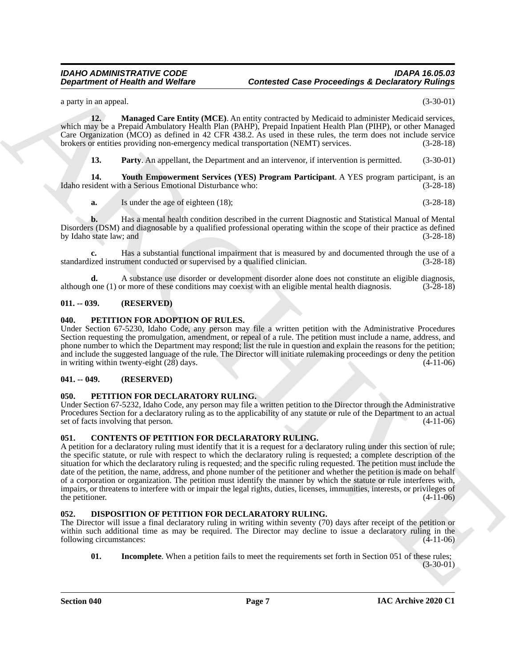a party in an appeal. (3-30-01)

**12. Managed Care Entity (MCE)**. An entity contracted by Medicaid to administer Medicaid services, which may be a Prepaid Ambulatory Health Plan (PAHP), Prepaid Inpatient Health Plan (PIHP), or other Managed Care Organization (MCO) as defined in 42 CFR 438.2. As used in these rules, the term does not include service brokers or entities providing non-emergency medical transportation (NEMT) services. (3-28-18)

<span id="page-6-9"></span><span id="page-6-8"></span><span id="page-6-7"></span>**13. Party**. An appellant, the Department and an intervenor, if intervention is permitted. (3-30-01)

**14. Youth Empowerment Services (YES) Program Participant**. A YES program participant, is an ident with a Serious Emotional Disturbance who: (3-28-18) Idaho resident with a Serious Emotional Disturbance who:

**a.** Is under the age of eighteen (18); (3-28-18)

**b.** Has a mental health condition described in the current Diagnostic and Statistical Manual of Mental Disorders (DSM) and diagnosable by a qualified professional operating within the scope of their practice as defined<br>by Idaho state law; and (3-28-18) by Idaho state law; and

**c.** Has a substantial functional impairment that is measured by and documented through the use of a standardized instrument conducted or supervised by a qualified clinician.

**d.** A substance use disorder or development disorder alone does not constitute an eligible diagnosis, one (1) or more of these conditions may coexist with an eligible mental health diagnosis. (3-28-18) although one  $(1)$  or more of these conditions may coexist with an eligible mental health diagnosis.

#### <span id="page-6-0"></span>**011. -- 039. (RESERVED)**

#### <span id="page-6-12"></span><span id="page-6-1"></span>**040. PETITION FOR ADOPTION OF RULES.**

Under Section 67-5230, Idaho Code, any person may file a written petition with the Administrative Procedures Section requesting the promulgation, amendment, or repeal of a rule. The petition must include a name, address, and phone number to which the Department may respond; list the rule in question and explain the reasons for the petition; and include the suggested language of the rule. The Director will initiate rulemaking proceedings or deny the petition in writing within twenty-eight  $(2\bar{8})$  days.  $(4-11-06)$ 

#### <span id="page-6-2"></span>**041. -- 049. (RESERVED)**

#### <span id="page-6-13"></span><span id="page-6-3"></span>**050. PETITION FOR DECLARATORY RULING.**

Under Section 67-5232, Idaho Code, any person may file a written petition to the Director through the Administrative Procedures Section for a declaratory ruling as to the applicability of any statute or rule of the Department to an actual set of facts involving that person. (4-11-06)

#### <span id="page-6-6"></span><span id="page-6-4"></span>**051. CONTENTS OF PETITION FOR DECLARATORY RULING.**

**Department of Health was Wolfare**<br>
space that the proposition of Model Case Proceedings & Declinion Continues<br>
space of the space of the space of the space of the space of the space of the space of the space of the space A petition for a declaratory ruling must identify that it is a request for a declaratory ruling under this section of rule; the specific statute, or rule with respect to which the declaratory ruling is requested; a complete description of the situation for which the declaratory ruling is requested; and the specific ruling requested. The petition must include the date of the petition, the name, address, and phone number of the petitioner and whether the petition is made on behalf of a corporation or organization. The petition must identify the manner by which the statute or rule interferes with, impairs, or threatens to interfere with or impair the legal rights, duties, licenses, immunities, interests, or privileges of the petitioner.  $(4-11-06)$ 

#### <span id="page-6-10"></span><span id="page-6-5"></span>**052. DISPOSITION OF PETITION FOR DECLARATORY RULING.**

The Director will issue a final declaratory ruling in writing within seventy (70) days after receipt of the petition or within such additional time as may be required. The Director may decline to issue a declaratory ruling in the following circumstances: (4-11-06)

<span id="page-6-11"></span>**01.** Incomplete. When a petition fails to meet the requirements set forth in Section 051 of these rules; (3-30-01)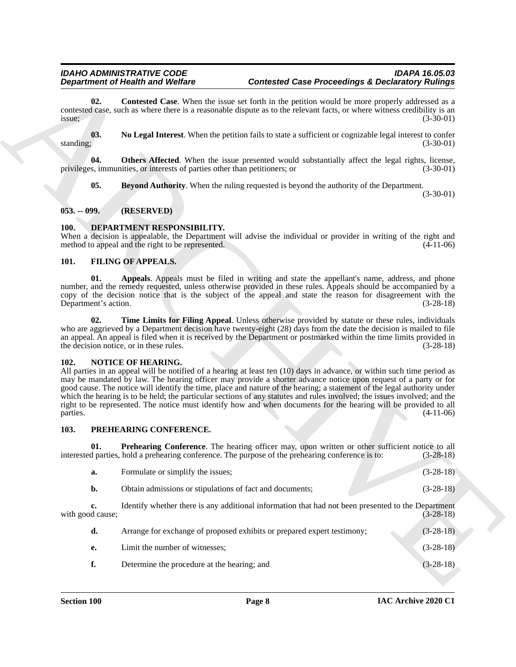#### <span id="page-7-9"></span><span id="page-7-8"></span><span id="page-7-6"></span><span id="page-7-0"></span>**053. -- 099. (RESERVED)**

#### <span id="page-7-5"></span><span id="page-7-1"></span>**100. DEPARTMENT RESPONSIBILITY.**

#### <span id="page-7-11"></span><span id="page-7-10"></span><span id="page-7-2"></span>**101. FILING OF APPEALS.**

#### <span id="page-7-13"></span><span id="page-7-12"></span><span id="page-7-3"></span>**102. NOTICE OF HEARING.**

#### <span id="page-7-15"></span><span id="page-7-14"></span><span id="page-7-4"></span>**103. PREHEARING CONFERENCE.**

<span id="page-7-7"></span>

|                             | <b>Department of Health and Welfare</b>                                                            | <b>Contested Case Proceedings &amp; Declaratory Rulings</b>                                                                                                                                                                                                                                                                                                                                                                                                                                                                                                                                                             |                            |
|-----------------------------|----------------------------------------------------------------------------------------------------|-------------------------------------------------------------------------------------------------------------------------------------------------------------------------------------------------------------------------------------------------------------------------------------------------------------------------------------------------------------------------------------------------------------------------------------------------------------------------------------------------------------------------------------------------------------------------------------------------------------------------|----------------------------|
| 02.<br>issue;               |                                                                                                    | <b>Contested Case</b> . When the issue set forth in the petition would be more properly addressed as a<br>contested case, such as where there is a reasonable dispute as to the relevant facts, or where witness credibility is an                                                                                                                                                                                                                                                                                                                                                                                      | $(3-30-01)$                |
| 03.<br>standing;            |                                                                                                    | No Legal Interest. When the petition fails to state a sufficient or cognizable legal interest to confer                                                                                                                                                                                                                                                                                                                                                                                                                                                                                                                 | $(3-30-01)$                |
| 04.                         | privileges, immunities, or interests of parties other than petitioners; or                         | <b>Others Affected.</b> When the issue presented would substantially affect the legal rights, license,                                                                                                                                                                                                                                                                                                                                                                                                                                                                                                                  | $(3-30-01)$                |
| 05.                         |                                                                                                    | Beyond Authority. When the ruling requested is beyond the authority of the Department.                                                                                                                                                                                                                                                                                                                                                                                                                                                                                                                                  | $(3-30-01)$                |
| $053. - 099.$               | (RESERVED)                                                                                         |                                                                                                                                                                                                                                                                                                                                                                                                                                                                                                                                                                                                                         |                            |
| <b>100.</b>                 | DEPARTMENT RESPONSIBILITY.<br>method to appeal and the right to be represented.                    | When a decision is appealable, the Department will advise the individual or provider in writing of the right and                                                                                                                                                                                                                                                                                                                                                                                                                                                                                                        | $(4-11-06)$                |
| 101.                        | <b>FILING OF APPEALS.</b>                                                                          |                                                                                                                                                                                                                                                                                                                                                                                                                                                                                                                                                                                                                         |                            |
| 01.<br>Department's action. |                                                                                                    | Appeals. Appeals must be filed in writing and state the appellant's name, address, and phone<br>number, and the remedy requested, unless otherwise provided in these rules. Appeals should be accompanied by a<br>copy of the decision notice that is the subject of the appeal and state the reason for disagreement with the                                                                                                                                                                                                                                                                                          | $(3-28-18)$                |
| 02.                         | the decision notice, or in these rules.                                                            | Time Limits for Filing Appeal. Unless otherwise provided by statute or these rules, individuals<br>who are aggrieved by a Department decision have twenty-eight (28) days from the date the decision is mailed to file<br>an appeal. An appeal is filed when it is received by the Department or postmarked within the time limits provided in                                                                                                                                                                                                                                                                          | $(3-28-18)$                |
| 102.<br>parties.            | NOTICE OF HEARING.                                                                                 | All parties in an appeal will be notified of a hearing at least ten (10) days in advance, or within such time period as<br>may be mandated by law. The hearing officer may provide a shorter advance notice upon request of a party or for<br>good cause. The notice will identify the time, place and nature of the hearing; a statement of the legal authority under<br>which the hearing is to be held; the particular sections of any statutes and rules involved; the issues involved; and the<br>right to be represented. The notice must identify how and when documents for the hearing will be provided to all | $(4-11-06)$                |
| 103.                        | PREHEARING CONFERENCE.                                                                             |                                                                                                                                                                                                                                                                                                                                                                                                                                                                                                                                                                                                                         |                            |
| 01.                         |                                                                                                    | Prehearing Conference. The hearing officer may, upon written or other sufficient notice to all<br>interested parties, hold a prehearing conference. The purpose of the prehearing conference is to:                                                                                                                                                                                                                                                                                                                                                                                                                     | $(3-28-18)$                |
| a.                          | Formulate or simplify the issues;                                                                  |                                                                                                                                                                                                                                                                                                                                                                                                                                                                                                                                                                                                                         | $(3-28-18)$                |
|                             | Obtain admissions or stipulations of fact and documents;                                           |                                                                                                                                                                                                                                                                                                                                                                                                                                                                                                                                                                                                                         | $(3-28-18)$                |
| b.                          |                                                                                                    |                                                                                                                                                                                                                                                                                                                                                                                                                                                                                                                                                                                                                         |                            |
| c.<br>with good cause;      | Identify whether there is any additional information that had not been presented to the Department |                                                                                                                                                                                                                                                                                                                                                                                                                                                                                                                                                                                                                         |                            |
| d.                          |                                                                                                    | Arrange for exchange of proposed exhibits or prepared expert testimony;                                                                                                                                                                                                                                                                                                                                                                                                                                                                                                                                                 | $(3-28-18)$<br>$(3-28-18)$ |
| e.                          | Limit the number of witnesses;                                                                     |                                                                                                                                                                                                                                                                                                                                                                                                                                                                                                                                                                                                                         | $(3-28-18)$                |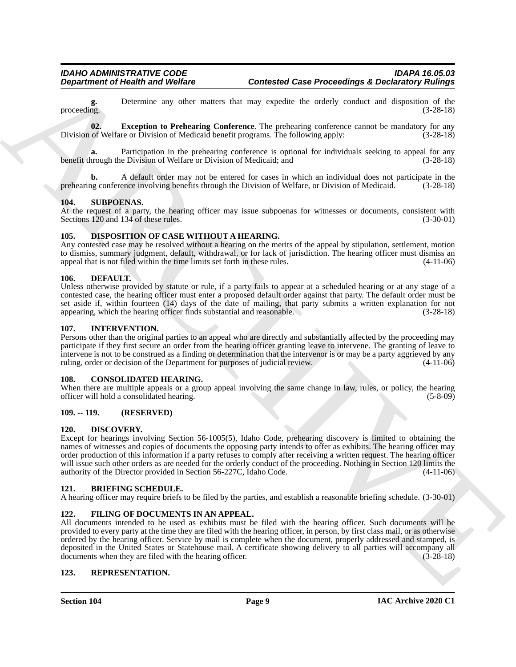**g.** Determine any other matters that may expedite the orderly conduct and disposition of the proceeding.  $(3-28-18)$ proceeding.  $(3-28-18)$ 

<span id="page-8-17"></span>**02. Exception to Prehearing Conference**. The prehearing conference cannot be mandatory for any Division of Welfare or Division of Medicaid benefit programs. The following apply: (3-28-18)

**a.** Participation in the prehearing conference is optional for individuals seeking to appeal for any benefit through the Division of Welfare or Division of Medicaid; and (3-28-18)

A default order may not be entered for cases in which an individual does not participate in the ence involving benefits through the Division of Welfare, or Division of Medicaid.  $(3-28-18)$ prehearing conference involving benefits through the Division of Welfare, or Division of Medicaid.

#### <span id="page-8-0"></span>**104. SUBPOENAS.**

At the request of a party, the hearing officer may issue subpoenas for witnesses or documents, consistent with Sections 120 and 134 of these rules. (3-30-01)

#### <span id="page-8-14"></span><span id="page-8-1"></span>**105. DISPOSITION OF CASE WITHOUT A HEARING.**

Any contested case may be resolved without a hearing on the merits of the appeal by stipulation, settlement, motion to dismiss, summary judgment, default, withdrawal, or for lack of jurisdiction. The hearing officer must dismiss an appeal that is not filed within the time limits set forth in these rules. (4-11-06)

#### <span id="page-8-12"></span><span id="page-8-2"></span>**106. DEFAULT.**

Unless otherwise provided by statute or rule, if a party fails to appear at a scheduled hearing or at any stage of a contested case, the hearing officer must enter a proposed default order against that party. The default order must be set aside if, within fourteen (14) days of the date of mailing, that party submits a written explanation for not appearing, which the hearing officer finds substantial and reasonable. (3-28-18) appearing, which the hearing officer finds substantial and reasonable.

#### <span id="page-8-16"></span><span id="page-8-3"></span>**107. INTERVENTION.**

Persons other than the original parties to an appeal who are directly and substantially affected by the proceeding may participate if they first secure an order from the hearing officer granting leave to intervene. The granting of leave to intervene is not to be construed as a finding or determination that the intervenor is or may be a party aggrieved by any ruling, order or decision of the Department for purposes of judicial review. (4-11-06)

#### <span id="page-8-11"></span><span id="page-8-4"></span>**108. CONSOLIDATED HEARING.**

When there are multiple appeals or a group appeal involving the same change in law, rules, or policy, the hearing officer will hold a consolidated hearing. (5-8-09)

#### <span id="page-8-5"></span>**109. -- 119. (RESERVED)**

#### <span id="page-8-13"></span><span id="page-8-6"></span>**120. DISCOVERY.**

**Department of Health and Wolfing Contents of Case Proceedings & Decimination of Minispar<br>
proceeding Contents are vice under that may explore the value contents are supported by the contents of Minispar<br>
Division of Wolf** Except for hearings involving Section 56-1005(5), Idaho Code, prehearing discovery is limited to obtaining the names of witnesses and copies of documents the opposing party intends to offer as exhibits. The hearing officer may order production of this information if a party refuses to comply after receiving a written request. The hearing officer will issue such other orders as are needed for the orderly conduct of the proceeding. Nothing in Section 120 limits the authority of the Director provided in Section 56-227C, Idaho Code. (4-11-06) authority of the Director provided in Section 56-227C, Idaho Code.

#### <span id="page-8-10"></span><span id="page-8-7"></span>**121. BRIEFING SCHEDULE.**

A hearing officer may require briefs to be filed by the parties, and establish a reasonable briefing schedule. (3-30-01)

#### <span id="page-8-15"></span><span id="page-8-8"></span>**122. FILING OF DOCUMENTS IN AN APPEAL.**

All documents intended to be used as exhibits must be filed with the hearing officer. Such documents will be provided to every party at the time they are filed with the hearing officer, in person, by first class mail, or as otherwise ordered by the hearing officer. Service by mail is complete when the document, properly addressed and stamped, is deposited in the United States or Statehouse mail. A certificate showing delivery to all parties will accompany all documents when they are filed with the hearing officer. (3-28-18) documents when they are filed with the hearing officer.

#### <span id="page-8-18"></span><span id="page-8-9"></span>**123. REPRESENTATION.**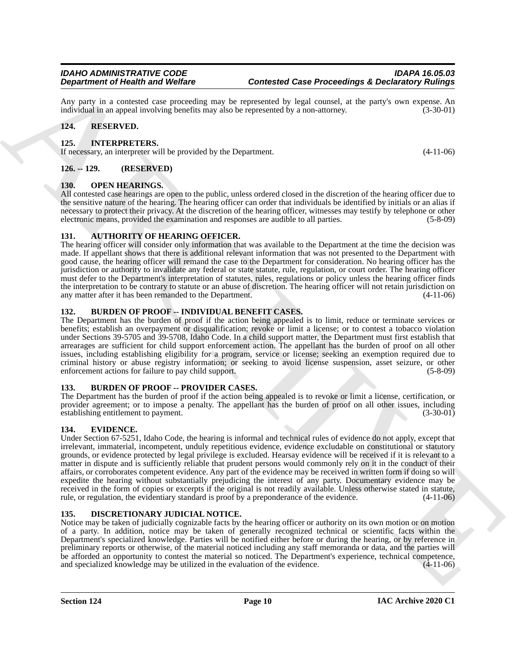Any party in a contested case proceeding may be represented by legal counsel, at the party's own expense. An individual in an appeal involving benefits may also be represented by a non-attorney. (3-30-01) individual in an appeal involving benefits may also be represented by a non-attorney.

#### <span id="page-9-13"></span><span id="page-9-0"></span>**124. RESERVED.**

#### <span id="page-9-1"></span>**125. INTERPRETERS.**

If necessary, an interpreter will be provided by the Department. (4-11-06)

#### <span id="page-9-2"></span>**126. -- 129. (RESERVED)**

#### <span id="page-9-14"></span><span id="page-9-3"></span>**130. OPEN HEARINGS.**

All contested case hearings are open to the public, unless ordered closed in the discretion of the hearing officer due to the sensitive nature of the hearing. The hearing officer can order that individuals be identified by initials or an alias if necessary to protect their privacy. At the discretion of the hearing officer, witnesses may testify by telephone or other electronic means, provided the examination and responses are audible to all parties. (5-8-09)

#### <span id="page-9-9"></span><span id="page-9-4"></span>**131. AUTHORITY OF HEARING OFFICER.**

The hearing officer will consider only information that was available to the Department at the time the decision was made. If appellant shows that there is additional relevant information that was not presented to the Department with good cause, the hearing officer will remand the case to the Department for consideration. No hearing officer has the jurisdiction or authority to invalidate any federal or state statute, rule, regulation, or court order. The hearing officer must defer to the Department's interpretation of statutes, rules, regulations or policy unless the hearing officer finds the interpretation to be contrary to statute or an abuse of discretion. The hearing officer will not retain jurisdiction on any matter after it has been remanded to the Department. (4-11-06)

#### <span id="page-9-10"></span><span id="page-9-5"></span>**132. BURDEN OF PROOF -- INDIVIDUAL BENEFIT CASES.**

The Department has the burden of proof if the action being appealed is to limit, reduce or terminate services or benefits; establish an overpayment or disqualification; revoke or limit a license; or to contest a tobacco violation under Sections 39-5705 and 39-5708, Idaho Code. In a child support matter, the Department must first establish that arrearages are sufficient for child support enforcement action. The appellant has the burden of proof on all other issues, including establishing eligibility for a program, service or license; seeking an exemption required due to criminal history or abuse registry information; or seeking to avoid license suspension, asset seizure, or other enforcement actions for failure to pay child support. (5-8-09) (5-8-09)

#### <span id="page-9-15"></span><span id="page-9-6"></span>**133. BURDEN OF PROOF -- PROVIDER CASES.**

The Department has the burden of proof if the action being appealed is to revoke or limit a license, certification, or provider agreement; or to impose a penalty. The appellant has the burden of proof on all other issues, including establishing entitlement to payment. (3-30-01)

#### <span id="page-9-12"></span><span id="page-9-7"></span>**134. EVIDENCE.**

**Dependent of Holest wave Velocles**<br>
Any product of Velocles (Content of Velocles 10 Content of Content of Content of Velocles 200 Content of Velocles 200 Content of Velocles 200 Content of Velocles 200 Content of Velocle Under Section 67-5251, Idaho Code, the hearing is informal and technical rules of evidence do not apply, except that irrelevant, immaterial, incompetent, unduly repetitious evidence, evidence excludable on constitutional or statutory grounds, or evidence protected by legal privilege is excluded. Hearsay evidence will be received if it is relevant to a matter in dispute and is sufficiently reliable that prudent persons would commonly rely on it in the conduct of their affairs, or corroborates competent evidence. Any part of the evidence may be received in written form if doing so will expedite the hearing without substantially prejudicing the interest of any party. Documentary evidence may be received in the form of copies or excerpts if the original is not readily available. Unless otherwise stated in statute, rule, or regulation, the evidentiary standard is proof by a preponderance of the evidence. (4-11-06)

#### <span id="page-9-11"></span><span id="page-9-8"></span>**135. DISCRETIONARY JUDICIAL NOTICE.**

Notice may be taken of judicially cognizable facts by the hearing officer or authority on its own motion or on motion of a party. In addition, notice may be taken of generally recognized technical or scientific facts within the Department's specialized knowledge. Parties will be notified either before or during the hearing, or by reference in preliminary reports or otherwise, of the material noticed including any staff memoranda or data, and the parties will be afforded an opportunity to contest the material so noticed. The Department's experience, technical competence, and specialized knowledge may be utilized in the evaluation of the evidence. (4-11-06)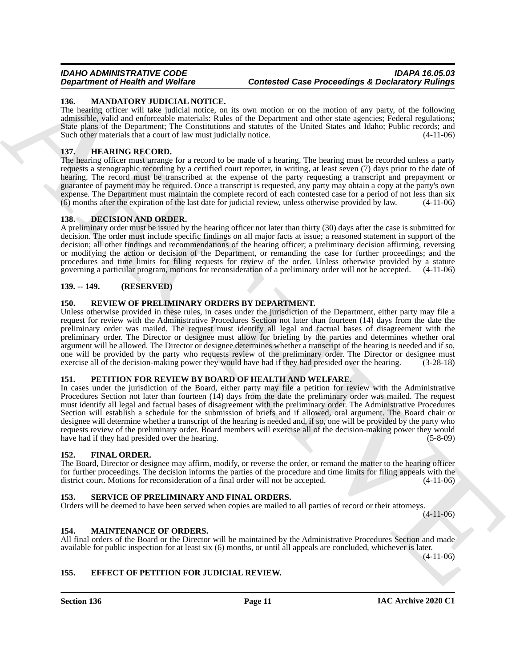### <span id="page-10-15"></span><span id="page-10-0"></span>**136. MANDATORY JUDICIAL NOTICE.**

The hearing officer will take judicial notice, on its own motion or on the motion of any party, of the following admissible, valid and enforceable materials: Rules of the Department and other state agencies; Federal regulations; State plans of the Department; The Constitutions and statutes of the United States and Idaho; Public records; and Such other materials that a court of law must judicially notice. (4-11-06)

#### <span id="page-10-13"></span><span id="page-10-1"></span>**137. HEARING RECORD.**

The hearing officer must arrange for a record to be made of a hearing. The hearing must be recorded unless a party requests a stenographic recording by a certified court reporter, in writing, at least seven (7) days prior to the date of hearing. The record must be transcribed at the expense of the party requesting a transcript and prepayment or guarantee of payment may be required. Once a transcript is requested, any party may obtain a copy at the party's own expense. The Department must maintain the complete record of each contested case for a period of not less than six (6) months after the expiration of the last date for judicial review, unless otherwise provided by law. (4- $(6)$  months after the expiration of the last date for judicial review, unless otherwise provided by law.

#### <span id="page-10-10"></span><span id="page-10-2"></span>**138. DECISION AND ORDER.**

A preliminary order must be issued by the hearing officer not later than thirty (30) days after the case is submitted for decision. The order must include specific findings on all major facts at issue; a reasoned statement in support of the decision; all other findings and recommendations of the hearing officer; a preliminary decision affirming, reversing or modifying the action or decision of the Department, or remanding the case for further proceedings; and the procedures and time limits for filing requests for review of the order. Unless otherwise provided by a statute governing a particular program, motions for reconsideration of a preliminary order will not be accepted. (4-11-06)

### <span id="page-10-3"></span>**139. -- 149. (RESERVED)**

### <span id="page-10-17"></span><span id="page-10-4"></span>**150. REVIEW OF PRELIMINARY ORDERS BY DEPARTMENT.**

Unless otherwise provided in these rules, in cases under the jurisdiction of the Department, either party may file a request for review with the Administrative Procedures Section not later than fourteen (14) days from the date the preliminary order was mailed. The request must identify all legal and factual bases of disagreement with the preliminary order. The Director or designee must allow for briefing by the parties and determines whether oral argument will be allowed. The Director or designee determines whether a transcript of the hearing is needed and if so, one will be provided by the party who requests review of the preliminary order. The Director or designee must exercise all of the decision-making power they would have had if they had presided over the hearing. (3-28-18)

#### <span id="page-10-16"></span><span id="page-10-5"></span>**151. PETITION FOR REVIEW BY BOARD OF HEALTH AND WELFARE.**

**Experimental China Brackfords** (**Case Proceedings A Deciminal China Brackfords** (**Case Proceedings A Deciminal China Brackfords** (**Case Brackfords** (**Case Brackfords** (**Case Brackfords** (**Case Brackfords** (**Case Brackfor** In cases under the jurisdiction of the Board, either party may file a petition for review with the Administrative Procedures Section not later than fourteen (14) days from the date the preliminary order was mailed. The request must identify all legal and factual bases of disagreement with the preliminary order. The Administrative Procedures Section will establish a schedule for the submission of briefs and if allowed, oral argument. The Board chair or designee will determine whether a transcript of the hearing is needed and, if so, one will be provided by the party who requests review of the preliminary order. Board members will exercise all of the decision-making power they would have had if they had presided over the hearing. (5-8-09)

#### <span id="page-10-12"></span><span id="page-10-6"></span>**152. FINAL ORDER.**

The Board, Director or designee may affirm, modify, or reverse the order, or remand the matter to the hearing officer for further proceedings. The decision informs the parties of the procedure and time limits for filing appeals with the district court. Motions for reconsideration of a final order will not be accepted.  $(4-11-06)$ district court. Motions for reconsideration of a final order will not be accepted.

#### <span id="page-10-18"></span><span id="page-10-7"></span>**SERVICE OF PRELIMINARY AND FINAL ORDERS.**

Orders will be deemed to have been served when copies are mailed to all parties of record or their attorneys.

 $(4-11-06)$ 

#### <span id="page-10-14"></span><span id="page-10-8"></span>**154. MAINTENANCE OF ORDERS.**

All final orders of the Board or the Director will be maintained by the Administrative Procedures Section and made available for public inspection for at least six (6) months, or until all appeals are concluded, whichever is later.

(4-11-06)

#### <span id="page-10-11"></span><span id="page-10-9"></span>**155. EFFECT OF PETITION FOR JUDICIAL REVIEW.**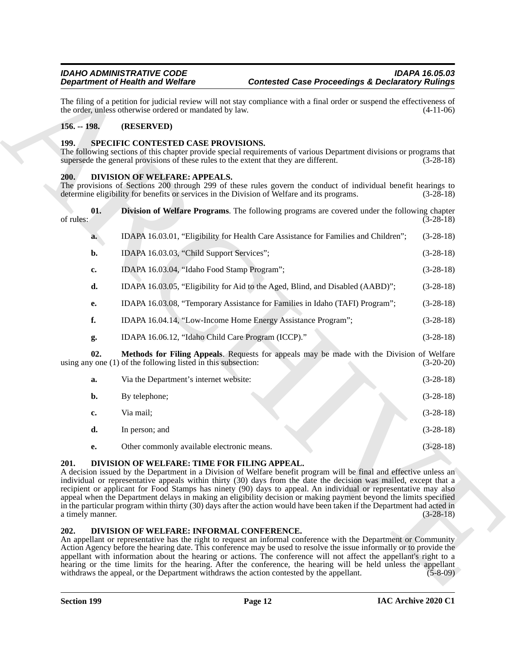#### <span id="page-11-0"></span>**156. -- 198. (RESERVED)**

#### <span id="page-11-10"></span><span id="page-11-1"></span>**199. SPECIFIC CONTESTED CASE PROVISIONS.**

#### <span id="page-11-6"></span><span id="page-11-5"></span><span id="page-11-2"></span>**200. DIVISION OF WELFARE: APPEALS.**

|                                                                                                                                      | <b>Department of Health and Welfare</b>                                                                                       | <b>Contested Case Proceedings &amp; Declaratory Rulings</b>                                                                                                                                                                                                                                                                                                                                                                                                                                                                                                                                                                                                                                                                                                                                                                                                                                                                                                                                                                                                                                                                                                                                |                           |
|--------------------------------------------------------------------------------------------------------------------------------------|-------------------------------------------------------------------------------------------------------------------------------|--------------------------------------------------------------------------------------------------------------------------------------------------------------------------------------------------------------------------------------------------------------------------------------------------------------------------------------------------------------------------------------------------------------------------------------------------------------------------------------------------------------------------------------------------------------------------------------------------------------------------------------------------------------------------------------------------------------------------------------------------------------------------------------------------------------------------------------------------------------------------------------------------------------------------------------------------------------------------------------------------------------------------------------------------------------------------------------------------------------------------------------------------------------------------------------------|---------------------------|
|                                                                                                                                      | the order, unless otherwise ordered or mandated by law.                                                                       | The filing of a petition for judicial review will not stay compliance with a final order or suspend the effectiveness of                                                                                                                                                                                                                                                                                                                                                                                                                                                                                                                                                                                                                                                                                                                                                                                                                                                                                                                                                                                                                                                                   | $(4-11-06)$               |
| $156. - 198.$                                                                                                                        | (RESERVED)                                                                                                                    |                                                                                                                                                                                                                                                                                                                                                                                                                                                                                                                                                                                                                                                                                                                                                                                                                                                                                                                                                                                                                                                                                                                                                                                            |                           |
| 199.                                                                                                                                 | SPECIFIC CONTESTED CASE PROVISIONS.<br>supersede the general provisions of these rules to the extent that they are different. | The following sections of this chapter provide special requirements of various Department divisions or programs that                                                                                                                                                                                                                                                                                                                                                                                                                                                                                                                                                                                                                                                                                                                                                                                                                                                                                                                                                                                                                                                                       | $(3-28-18)$               |
| DIVISION OF WELFARE: APPEALS.<br>200.<br>determine eligibility for benefits or services in the Division of Welfare and its programs. |                                                                                                                               | The provisions of Sections 200 through 299 of these rules govern the conduct of individual benefit hearings to                                                                                                                                                                                                                                                                                                                                                                                                                                                                                                                                                                                                                                                                                                                                                                                                                                                                                                                                                                                                                                                                             | $(3-28-18)$               |
| 01.<br>of rules:                                                                                                                     |                                                                                                                               | <b>Division of Welfare Programs.</b> The following programs are covered under the following chapter                                                                                                                                                                                                                                                                                                                                                                                                                                                                                                                                                                                                                                                                                                                                                                                                                                                                                                                                                                                                                                                                                        | $(3-28-18)$               |
| a.                                                                                                                                   |                                                                                                                               | IDAPA 16.03.01, "Eligibility for Health Care Assistance for Families and Children";                                                                                                                                                                                                                                                                                                                                                                                                                                                                                                                                                                                                                                                                                                                                                                                                                                                                                                                                                                                                                                                                                                        | $(3-28-18)$               |
| b.                                                                                                                                   | IDAPA 16.03.03, "Child Support Services";                                                                                     |                                                                                                                                                                                                                                                                                                                                                                                                                                                                                                                                                                                                                                                                                                                                                                                                                                                                                                                                                                                                                                                                                                                                                                                            | $(3-28-18)$               |
| c.                                                                                                                                   | IDAPA 16.03.04, "Idaho Food Stamp Program";                                                                                   |                                                                                                                                                                                                                                                                                                                                                                                                                                                                                                                                                                                                                                                                                                                                                                                                                                                                                                                                                                                                                                                                                                                                                                                            | $(3-28-18)$               |
| d.                                                                                                                                   |                                                                                                                               | IDAPA 16.03.05, "Eligibility for Aid to the Aged, Blind, and Disabled (AABD)";                                                                                                                                                                                                                                                                                                                                                                                                                                                                                                                                                                                                                                                                                                                                                                                                                                                                                                                                                                                                                                                                                                             | $(3-28-18)$               |
| е.                                                                                                                                   |                                                                                                                               | IDAPA 16.03.08, "Temporary Assistance for Families in Idaho (TAFI) Program";                                                                                                                                                                                                                                                                                                                                                                                                                                                                                                                                                                                                                                                                                                                                                                                                                                                                                                                                                                                                                                                                                                               | $(3-28-18)$               |
| f.                                                                                                                                   |                                                                                                                               | IDAPA 16.04.14, "Low-Income Home Energy Assistance Program";                                                                                                                                                                                                                                                                                                                                                                                                                                                                                                                                                                                                                                                                                                                                                                                                                                                                                                                                                                                                                                                                                                                               | $(3-28-18)$               |
| g.                                                                                                                                   | IDAPA 16.06.12, "Idaho Child Care Program (ICCP)."                                                                            |                                                                                                                                                                                                                                                                                                                                                                                                                                                                                                                                                                                                                                                                                                                                                                                                                                                                                                                                                                                                                                                                                                                                                                                            | $(3-28-18)$               |
| 02.                                                                                                                                  | using any one $(1)$ of the following listed in this subsection:                                                               | Methods for Filing Appeals. Requests for appeals may be made with the Division of Welfare                                                                                                                                                                                                                                                                                                                                                                                                                                                                                                                                                                                                                                                                                                                                                                                                                                                                                                                                                                                                                                                                                                  | $(3-20-20)$               |
| a.                                                                                                                                   | Via the Department's internet website:                                                                                        |                                                                                                                                                                                                                                                                                                                                                                                                                                                                                                                                                                                                                                                                                                                                                                                                                                                                                                                                                                                                                                                                                                                                                                                            | $(3-28-18)$               |
| b.                                                                                                                                   | By telephone;                                                                                                                 |                                                                                                                                                                                                                                                                                                                                                                                                                                                                                                                                                                                                                                                                                                                                                                                                                                                                                                                                                                                                                                                                                                                                                                                            | $(3-28-18)$               |
| c.                                                                                                                                   | Via mail;                                                                                                                     |                                                                                                                                                                                                                                                                                                                                                                                                                                                                                                                                                                                                                                                                                                                                                                                                                                                                                                                                                                                                                                                                                                                                                                                            | $(3-28-18)$               |
| d.                                                                                                                                   | In person; and                                                                                                                |                                                                                                                                                                                                                                                                                                                                                                                                                                                                                                                                                                                                                                                                                                                                                                                                                                                                                                                                                                                                                                                                                                                                                                                            | $(3-28-18)$               |
| e.                                                                                                                                   | Other commonly available electronic means.                                                                                    |                                                                                                                                                                                                                                                                                                                                                                                                                                                                                                                                                                                                                                                                                                                                                                                                                                                                                                                                                                                                                                                                                                                                                                                            | $(3-28-18)$               |
| 201.<br>a timely manner.<br>202.                                                                                                     | DIVISION OF WELFARE: TIME FOR FILING APPEAL.<br>DIVISION OF WELFARE: INFORMAL CONFERENCE.                                     | A decision issued by the Department in a Division of Welfare benefit program will be final and effective unless an<br>individual or representative appeals within thirty (30) days from the date the decision was mailed, except that a<br>recipient or applicant for Food Stamps has ninety (90) days to appeal. An individual or representative may also<br>appeal when the Department delays in making an eligibility decision or making payment beyond the limits specified<br>in the particular program within thirty (30) days after the action would have been taken if the Department had acted in<br>An appellant or representative has the right to request an informal conference with the Department or Community<br>Action Agency before the hearing date. This conference may be used to resolve the issue informally or to provide the<br>appellant with information about the hearing or actions. The conference will not affect the appellant's right to a<br>hearing or the time limits for the hearing. After the conference, the hearing will be held unless the appellant<br>withdraws the appeal, or the Department withdraws the action contested by the appellant. | $(3-28-18)$<br>$(5-8-09)$ |

- **f.** IDAPA 16.04.14, "Low-Income Home Energy Assistance Program"; (3-28-18)
- <span id="page-11-7"></span>**g.** IDAPA 16.06.12, "Idaho Child Care Program (ICCP)." (3-28-18)

| a. | Via the Department's internet website:     | $(3-28-18)$ |
|----|--------------------------------------------|-------------|
| b. | By telephone;                              | $(3-28-18)$ |
| c. | Via mail:                                  | $(3-28-18)$ |
| d. | In person; and                             | $(3-28-18)$ |
| e. | Other commonly available electronic means. | $(3-28-18)$ |

#### <span id="page-11-9"></span><span id="page-11-3"></span>**201. DIVISION OF WELFARE: TIME FOR FILING APPEAL.**

#### <span id="page-11-8"></span><span id="page-11-4"></span>**202. DIVISION OF WELFARE: INFORMAL CONFERENCE.**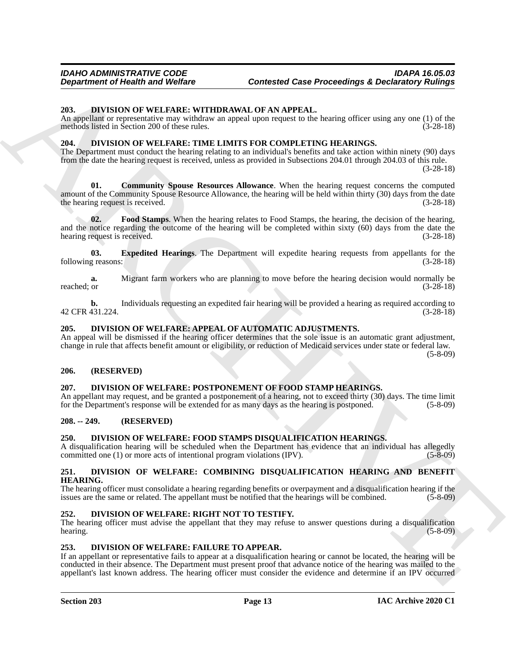#### <span id="page-12-20"></span><span id="page-12-0"></span>**203. DIVISION OF WELFARE: WITHDRAWAL OF AN APPEAL.**

An appellant or representative may withdraw an appeal upon request to the hearing officer using any one (1) of the methods listed in Section 200 of these rules. (3-28-18)

### <span id="page-12-16"></span><span id="page-12-1"></span>**204. DIVISION OF WELFARE: TIME LIMITS FOR COMPLETING HEARINGS.**

<span id="page-12-17"></span>The Department must conduct the hearing relating to an individual's benefits and take action within ninety (90) days from the date the hearing request is received, unless as provided in Subsections 204.01 through 204.03 of this rule.

(3-28-18)

Department of Health was Wolfare<br>
2011 Content of Development of Northern Content of Case Proceedings & Declinionly Rulling<br>
2013 Declinion of Warken and Warren in the main of NATIVE Content of the reality of the state of **01. Community Spouse Resources Allowance**. When the hearing request concerns the computed amount of the Community Spouse Resource Allowance, the hearing will be held within thirty (30) days from the date<br>the hearing request is received. (3-28-18) the hearing request is received.

<span id="page-12-19"></span>**02. Food Stamps**. When the hearing relates to Food Stamps, the hearing, the decision of the hearing, and the notice regarding the outcome of the hearing will be completed within sixty  $(60)$  days from the date the hearing request is received.  $(3-28-18)$ hearing request is received.

<span id="page-12-18"></span>**03.** Expedited Hearings. The Department will expedite hearing requests from appellants for the reasons: (3-28-18) following reasons:

**a.** Migrant farm workers who are planning to move before the hearing decision would normally be reached; or  $(3-28-18)$ reached; or  $(3-28-18)$ 

**b.** Individuals requesting an expedited fair hearing will be provided a hearing as required according to 431.224. 42 CFR 431.224.

#### <span id="page-12-11"></span><span id="page-12-2"></span>**205. DIVISION OF WELFARE: APPEAL OF AUTOMATIC ADJUSTMENTS.**

An appeal will be dismissed if the hearing officer determines that the sole issue is an automatic grant adjustment, change in rule that affects benefit amount or eligibility, or reduction of Medicaid services under state or federal law. (5-8-09)

#### <span id="page-12-3"></span>**206. (RESERVED)**

#### <span id="page-12-14"></span><span id="page-12-4"></span>**207. DIVISION OF WELFARE: POSTPONEMENT OF FOOD STAMP HEARINGS.**

An appellant may request, and be granted a postponement of a hearing, not to exceed thirty (30) days. The time limit for the Department's response will be extended for as many days as the hearing is postponed. (5-8-09) for the Department's response will be extended for as many days as the hearing is postponed.

#### <span id="page-12-5"></span>**208. -- 249. (RESERVED)**

#### <span id="page-12-10"></span><span id="page-12-6"></span>**250. DIVISION OF WELFARE: FOOD STAMPS DISQUALIFICATION HEARINGS.**

A disqualification hearing will be scheduled when the Department has evidence that an individual has allegedly committed one (1) or more acts of intentional program violations (IPV). (5-8-09)

#### <span id="page-12-12"></span><span id="page-12-7"></span>**251. DIVISION OF WELFARE: COMBINING DISQUALIFICATION HEARING AND BENEFIT HEARING.**

The hearing officer must consolidate a hearing regarding benefits or overpayment and a disqualification hearing if the issues are the same or related. The appellant must be notified that the hearings will be combined. (5-8-09)

#### <span id="page-12-15"></span><span id="page-12-8"></span>**252. DIVISION OF WELFARE: RIGHT NOT TO TESTIFY.**

The hearing officer must advise the appellant that they may refuse to answer questions during a disqualification hearing. (5-8-09) (5-8-09)

#### <span id="page-12-13"></span><span id="page-12-9"></span>**253. DIVISION OF WELFARE: FAILURE TO APPEAR.**

If an appellant or representative fails to appear at a disqualification hearing or cannot be located, the hearing will be conducted in their absence. The Department must present proof that advance notice of the hearing was mailed to the appellant's last known address. The hearing officer must consider the evidence and determine if an IPV occurred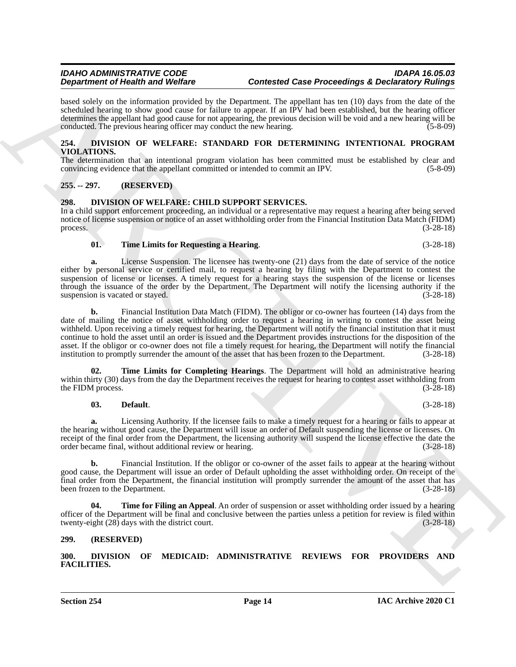based solely on the information provided by the Department. The appellant has ten (10) days from the date of the scheduled hearing to show good cause for failure to appear. If an IPV had been established, but the hearing officer determines the appellant had good cause for not appearing, the previous decision will be void and a new hearing will be conducted. The previous hearing officer may conduct the new hearing. (5-8-09)

#### <span id="page-13-11"></span><span id="page-13-0"></span>**254. DIVISION OF WELFARE: STANDARD FOR DETERMINING INTENTIONAL PROGRAM VIOLATIONS.**

The determination that an intentional program violation has been committed must be established by clear and convincing evidence that the appellant committed or intended to commit an IPV. (5-8-09) convincing evidence that the appellant committed or intended to commit an IPV.

### <span id="page-13-1"></span>**255. -- 297. (RESERVED)**

#### <span id="page-13-6"></span><span id="page-13-2"></span>**298. DIVISION OF WELFARE: CHILD SUPPORT SERVICES.**

In a child support enforcement proceeding, an individual or a representative may request a hearing after being served notice of license suspension or notice of an asset withholding order from the Financial Institution Data Match (FIDM) process. (3-28-18)

#### <span id="page-13-10"></span>**01. Time Limits for Requesting a Hearing**. (3-28-18)

**a.** License Suspension. The licensee has twenty-one (21) days from the date of service of the notice either by personal service or certified mail, to request a hearing by filing with the Department to contest the suspension of license or licenses. A timely request for a hearing stays the suspension of the license or licenses through the issuance of the order by the Department. The Department will notify the licensing authority if the suspension is vacated or stayed. (3-28-18)

**Experiment of Health and Validares**<br> **Experiment of Health and Validares**<br> **Experiment of Health and Validares Construction** (See Proposition 2). The system of the system of the system of the system of the system of the **b.** Financial Institution Data Match (FIDM). The obligor or co-owner has fourteen (14) days from the date of mailing the notice of asset withholding order to request a hearing in writing to contest the asset being withheld. Upon receiving a timely request for hearing, the Department will notify the financial institution that it must continue to hold the asset until an order is issued and the Department provides instructions for the disposition of the asset. If the obligor or co-owner does not file a timely request for hearing, the Department will notify the financial institution to promptly surrender the amount of the asset that has been frozen to the Department. (3-28-18)

**Time Limits for Completing Hearings**. The Department will hold an administrative hearing within thirty (30) days from the day the Department receives the request for hearing to contest asset withholding from<br>(3-28-18) the FIDM process.

#### <span id="page-13-9"></span><span id="page-13-7"></span>**03. Default**. (3-28-18)

**a.** Licensing Authority. If the licensee fails to make a timely request for a hearing or fails to appear at the hearing without good cause, the Department will issue an order of Default suspending the license or licenses. On receipt of the final order from the Department, the licensing authority will suspend the license effective the date the order became final, without additional review or hearing. (3-28-18)

**b.** Financial Institution. If the obligor or co-owner of the asset fails to appear at the hearing without good cause, the Department will issue an order of Default upholding the asset withholding order. On receipt of the final order from the Department, the financial institution will promptly surrender the amount of the asset that has been frozen to the Department. (3-28-18)

<span id="page-13-8"></span>**04. Time for Filing an Appeal**. An order of suspension or asset withholding order issued by a hearing officer of the Department will be final and conclusive between the parties unless a petition for review is filed within twenty-eight (28) days with the district court. (3-28-18) twenty-eight  $(28)$  days with the district court.

#### <span id="page-13-3"></span>**299. (RESERVED)**

<span id="page-13-5"></span><span id="page-13-4"></span>**300. DIVISION OF MEDICAID: ADMINISTRATIVE REVIEWS FOR PROVIDERS AND FACILITIES.**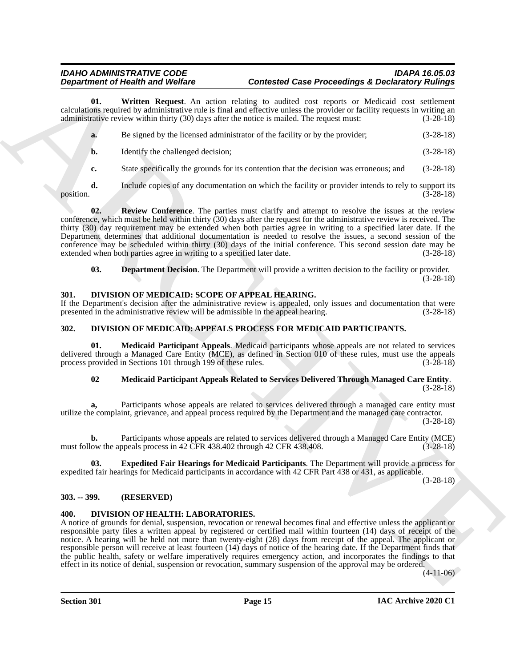**01. Written Request**. An action relating to audited cost reports or Medicaid cost settlement calculations required by administrative rule is final and effective unless the provider or facility requests in writing an administrative review within thirty (30) days after the notice is mailed. The request must: (3-28-18)

<span id="page-14-7"></span>

| a. | Be signed by the licensed administrator of the facility or by the provider; | $(3-28-18)$ |
|----|-----------------------------------------------------------------------------|-------------|
| b. | Identify the challenged decision;                                           | $(3-28-18)$ |

<span id="page-14-6"></span>**c.** State specifically the grounds for its contention that the decision was erroneous; and (3-28-18)

**d.** Include copies of any documentation on which the facility or provider intends to rely to support its (3-28-18) position. (3-28-18)

**Department of Health and Wellins Constant through Constant of Case Possession Constant of North Action Constant Action (1991) and the state of the state of the state of the state of the state of the state of the state of 02. Review Conference**. The parties must clarify and attempt to resolve the issues at the review conference, which must be held within thirty (30) days after the request for the administrative review is received. The thirty (30) day requirement may be extended when both parties agree in writing to a specified later date. If the Department determines that additional documentation is needed to resolve the issues, a second session of the conference may be scheduled within thirty (30) days of the initial conference. This second session date may be extended when both parties agree in writing to a specified later date. (3-28-18)

<span id="page-14-12"></span><span id="page-14-5"></span>**03. Department Decision**. The Department will provide a written decision to the facility or provider. (3-28-18)

#### <span id="page-14-0"></span>**301. DIVISION OF MEDICAID: SCOPE OF APPEAL HEARING.**

If the Department's decision after the administrative review is appealed, only issues and documentation that were presented in the administrative review will be admissible in the appeal hearing. (3-28-18) presented in the administrative review will be admissible in the appeal hearing.

### <span id="page-14-8"></span><span id="page-14-1"></span>**302. DIVISION OF MEDICAID: APPEALS PROCESS FOR MEDICAID PARTICIPANTS.**

**01. Medicaid Participant Appeals**. Medicaid participants whose appeals are not related to services delivered through a Managed Care Entity (MCE), as defined in Section 010 of these rules, must use the appeals process provided in Sections 101 through 199 of these rules. (3-28-18) process provided in Sections 101 through 199 of these rules.

#### <span id="page-14-11"></span><span id="page-14-10"></span>**02 Medicaid Participant Appeals Related to Services Delivered Through Managed Care Entity**.  $(3-28-18)$

**a,** Participants whose appeals are related to services delivered through a managed care entity must utilize the complaint, grievance, and appeal process required by the Department and the managed care contractor.

(3-28-18)

**b.** Participants whose appeals are related to services delivered through a Managed Care Entity (MCE) must follow the appeals process in 42 CFR 438.402 through 42 CFR 438.408. (3-28-18)

<span id="page-14-9"></span>**03. Expedited Fair Hearings for Medicaid Participants**. The Department will provide a process for expedited fair hearings for Medicaid participants in accordance with 42 CFR Part 438 or 431, as applicable.

(3-28-18)

#### <span id="page-14-2"></span>**303. -- 399. (RESERVED)**

#### <span id="page-14-4"></span><span id="page-14-3"></span>**400. DIVISION OF HEALTH: LABORATORIES.**

A notice of grounds for denial, suspension, revocation or renewal becomes final and effective unless the applicant or responsible party files a written appeal by registered or certified mail within fourteen (14) days of receipt of the notice. A hearing will be held not more than twenty-eight (28) days from receipt of the appeal. The applicant or responsible person will receive at least fourteen (14) days of notice of the hearing date. If the Department finds that the public health, safety or welfare imperatively requires emergency action, and incorporates the findings to that effect in its notice of denial, suspension or revocation, summary suspension of the approval may be ordered.

 $(4-11-06)$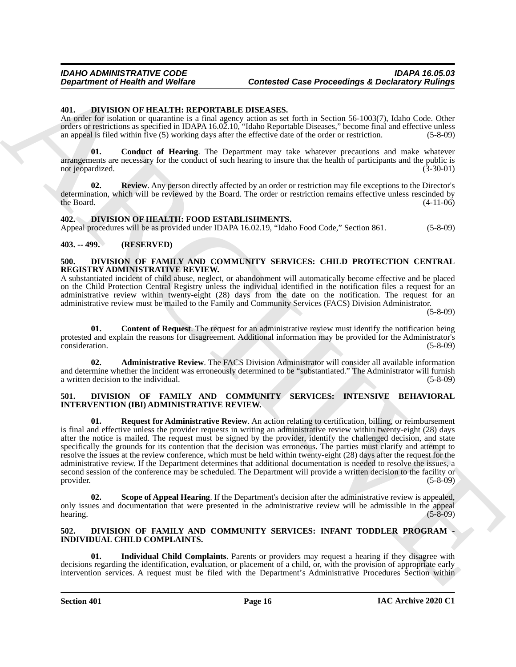#### <span id="page-15-15"></span><span id="page-15-0"></span>**401. DIVISION OF HEALTH: REPORTABLE DISEASES.**

An order for isolation or quarantine is a final agency action as set forth in Section 56-1003(7), Idaho Code. Other orders or restrictions as specified in IDAPA 16.02.10, "Idaho Reportable Diseases," become final and effective unless an appeal is filed within five (5) working days after the effective date of the order or restriction. (5-8-09)

<span id="page-15-16"></span>**01. Conduct of Hearing**. The Department may take whatever precautions and make whatever arrangements are necessary for the conduct of such hearing to insure that the health of participants and the public is not jeopardized. (3-30-01) (3-30-01)

<span id="page-15-17"></span>**02. Review**. Any person directly affected by an order or restriction may file exceptions to the Director's determination, which will be reviewed by the Board. The order or restriction remains effective unless rescinded by the Board. (4-11-06) the Board.  $(4-11-06)$ 

#### <span id="page-15-14"></span><span id="page-15-1"></span>**402. DIVISION OF HEALTH: FOOD ESTABLISHMENTS.**

Appeal procedures will be as provided under IDAPA 16.02.19, "Idaho Food Code," Section 861. (5-8-09)

#### <span id="page-15-2"></span>**403. -- 499. (RESERVED)**

#### <span id="page-15-6"></span><span id="page-15-3"></span>**500. DIVISION OF FAMILY AND COMMUNITY SERVICES: CHILD PROTECTION CENTRAL REGISTRY ADMINISTRATIVE REVIEW.**

A substantiated incident of child abuse, neglect, or abandonment will automatically become effective and be placed on the Child Protection Central Registry unless the individual identified in the notification files a request for an administrative review within twenty-eight (28) days from the date on the notification. The request for an administrative review must be mailed to the Family and Community Services (FACS) Division Administrator.

(5-8-09)

<span id="page-15-8"></span>**01. Content of Request**. The request for an administrative review must identify the notification being protested and explain the reasons for disagreement. Additional information may be provided for the Administrator's consideration. (5-8-09)

<span id="page-15-7"></span>**02. Administrative Review**. The FACS Division Administrator will consider all available information and determine whether the incident was erroneously determined to be "substantiated." The Administrator will furnish a written decision to the individual. (5-8-09)

#### <span id="page-15-12"></span><span id="page-15-11"></span><span id="page-15-4"></span>**501. DIVISION OF FAMILY AND COMMUNITY SERVICES: INTENSIVE BEHAVIORAL INTERVENTION (IBI) ADMINISTRATIVE REVIEW.**

Department of Health was Wolfer<br>
40. Darrenton Contract Case Proceedings & Declinion Contract Case<br>
40. Darrenton Contract Case (1993) and the contract Case (1993) and the contract Case (1993)<br>
An one-contract Case (1993) **01. Request for Administrative Review**. An action relating to certification, billing, or reimbursement is final and effective unless the provider requests in writing an administrative review within twenty-eight (28) days after the notice is mailed. The request must be signed by the provider, identify the challenged decision, and state specifically the grounds for its contention that the decision was erroneous. The parties must clarify and attempt to resolve the issues at the review conference, which must be held within twenty-eight (28) days after the request for the administrative review. If the Department determines that additional documentation is needed to resolve the issues, a second session of the conference may be scheduled. The Department will provide a written decision to the facility or provider. (5-8-09) provider.  $(5-8-09)$ 

<span id="page-15-13"></span>**Scope of Appeal Hearing**. If the Department's decision after the administrative review is appealed, only issues and documentation that were presented in the administrative review will be admissible in the appeal<br>(5-8-09) (5-8-09)  $h = \frac{1}{5.8-09}$  (5-8-09)

#### <span id="page-15-9"></span><span id="page-15-5"></span>**502. DIVISION OF FAMILY AND COMMUNITY SERVICES: INFANT TODDLER PROGRAM - INDIVIDUAL CHILD COMPLAINTS.**

<span id="page-15-10"></span>**01. Individual Child Complaints**. Parents or providers may request a hearing if they disagree with decisions regarding the identification, evaluation, or placement of a child, or, with the provision of appropriate early intervention services. A request must be filed with the Department's Administrative Procedures Section within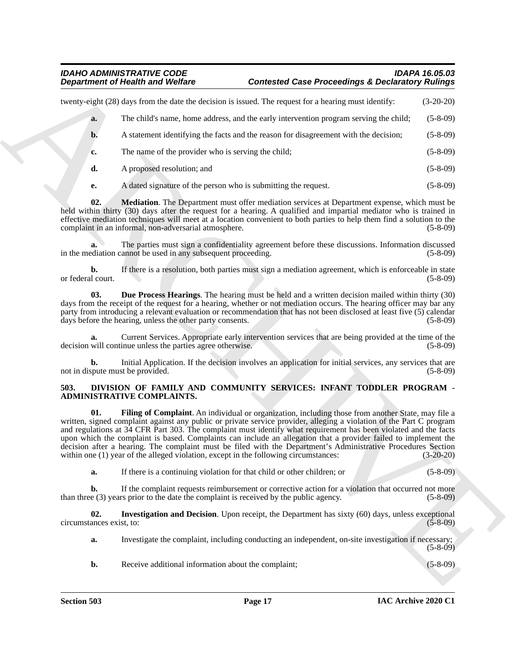<span id="page-16-5"></span>

|                                 | <b>Department of Health and Welfare</b>                                                | <b>Contested Case Proceedings &amp; Declaratory Rulings</b>                                                                                                                                                                                                                                                                                                                                                                                                                                                                                                                        |                          |
|---------------------------------|----------------------------------------------------------------------------------------|------------------------------------------------------------------------------------------------------------------------------------------------------------------------------------------------------------------------------------------------------------------------------------------------------------------------------------------------------------------------------------------------------------------------------------------------------------------------------------------------------------------------------------------------------------------------------------|--------------------------|
|                                 |                                                                                        | twenty-eight (28) days from the date the decision is issued. The request for a hearing must identify:                                                                                                                                                                                                                                                                                                                                                                                                                                                                              | $(3-20-20)$              |
| a.                              |                                                                                        | The child's name, home address, and the early intervention program serving the child;                                                                                                                                                                                                                                                                                                                                                                                                                                                                                              | $(5-8-09)$               |
| b.                              |                                                                                        | A statement identifying the facts and the reason for disagreement with the decision;                                                                                                                                                                                                                                                                                                                                                                                                                                                                                               | $(5-8-09)$               |
| c.                              | The name of the provider who is serving the child;                                     |                                                                                                                                                                                                                                                                                                                                                                                                                                                                                                                                                                                    | $(5-8-09)$               |
| d.                              | A proposed resolution; and                                                             |                                                                                                                                                                                                                                                                                                                                                                                                                                                                                                                                                                                    | $(5-8-09)$               |
| е.                              | A dated signature of the person who is submitting the request.                         |                                                                                                                                                                                                                                                                                                                                                                                                                                                                                                                                                                                    | $(5-8-09)$               |
| 02.                             | complaint in an informal, non-adversarial atmosphere.                                  | Mediation. The Department must offer mediation services at Department expense, which must be<br>held within thirty (30) days after the request for a hearing. A qualified and impartial mediator who is trained in<br>effective mediation techniques will meet at a location convenient to both parties to help them find a solution to the                                                                                                                                                                                                                                        | $(5-8-09)$               |
| a.                              | in the mediation cannot be used in any subsequent proceeding.                          | The parties must sign a confidentiality agreement before these discussions. Information discussed                                                                                                                                                                                                                                                                                                                                                                                                                                                                                  | $(5-8-09)$               |
| b.<br>or federal court.         |                                                                                        | If there is a resolution, both parties must sign a mediation agreement, which is enforceable in state                                                                                                                                                                                                                                                                                                                                                                                                                                                                              | $(5-8-09)$               |
| 03.                             | days before the hearing, unless the other party consents.                              | Due Process Hearings. The hearing must be held and a written decision mailed within thirty (30)<br>days from the receipt of the request for a hearing, whether or not mediation occurs. The hearing officer may bar any<br>party from introducing a relevant evaluation or recommendation that has not been disclosed at least five (5) calendar                                                                                                                                                                                                                                   | $(5-8-09)$               |
| a.                              | decision will continue unless the parties agree otherwise.                             | Current Services. Appropriate early intervention services that are being provided at the time of the                                                                                                                                                                                                                                                                                                                                                                                                                                                                               | $(5-8-09)$               |
| b.                              | not in dispute must be provided.                                                       | Initial Application. If the decision involves an application for initial services, any services that are                                                                                                                                                                                                                                                                                                                                                                                                                                                                           | $(5-8-09)$               |
| 503.                            | ADMINISTRATIVE COMPLAINTS.                                                             | DIVISION OF FAMILY AND COMMUNITY SERVICES: INFANT TODDLER PROGRAM -                                                                                                                                                                                                                                                                                                                                                                                                                                                                                                                |                          |
| 01.                             | within one (1) year of the alleged violation, except in the following circumstances:   | Filing of Complaint. An individual or organization, including those from another State, may file a<br>written, signed complaint against any public or private service provider, alleging a violation of the Part C program<br>and regulations at 34 CFR Part 303. The complaint must identify what requirement has been violated and the facts<br>upon which the complaint is based. Complaints can include an allegation that a provider failed to implement the<br>decision after a hearing. The complaint must be filed with the Department's Administrative Procedures Section | $(3-20-20)$              |
| a.                              | If there is a continuing violation for that child or other children; or                |                                                                                                                                                                                                                                                                                                                                                                                                                                                                                                                                                                                    | $(5 - 8 - 09)$           |
| b.                              | than three (3) years prior to the date the complaint is received by the public agency. | If the complaint requests reimbursement or corrective action for a violation that occurred not more                                                                                                                                                                                                                                                                                                                                                                                                                                                                                | $(5-8-09)$               |
|                                 |                                                                                        | Investigation and Decision. Upon receipt, the Department has sixty (60) days, unless exceptional                                                                                                                                                                                                                                                                                                                                                                                                                                                                                   |                          |
| 02.<br>circumstances exist, to: |                                                                                        |                                                                                                                                                                                                                                                                                                                                                                                                                                                                                                                                                                                    |                          |
| a.                              |                                                                                        | Investigate the complaint, including conducting an independent, on-site investigation if necessary;                                                                                                                                                                                                                                                                                                                                                                                                                                                                                | $(5-8-09)$<br>$(5-8-09)$ |

#### <span id="page-16-4"></span><span id="page-16-3"></span><span id="page-16-2"></span><span id="page-16-1"></span><span id="page-16-0"></span>**503. DIVISION OF FAMILY AND COMMUNITY SERVICES: INFANT TODDLER PROGRAM - ADMINISTRATIVE COMPLAINTS.**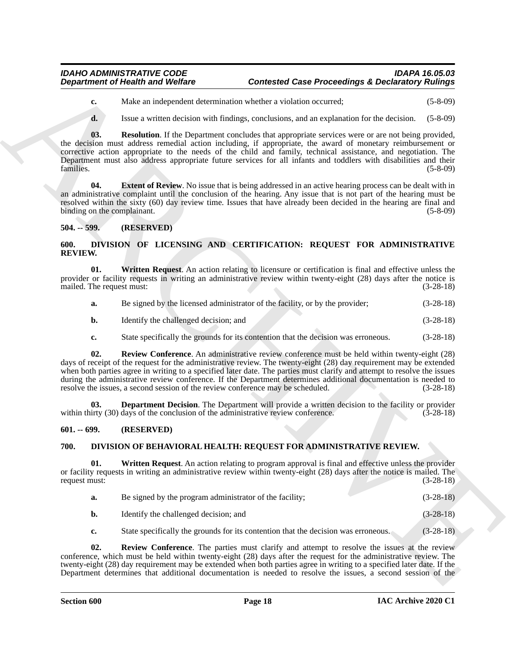- **c.** Make an independent determination whether a violation occurred; (5-8-09)
- <span id="page-17-7"></span>**d.** Issue a written decision with findings, conclusions, and an explanation for the decision. (5-8-09)

**Department of Health was Wolfare**<br>
Contested Case Proceedings & Declinion of Wolfar<br>
Contest at the anti-space above which are contested Case Proceedings & Declinion (2008)<br>
4. The anti-space above the final properties a **03. Resolution**. If the Department concludes that appropriate services were or are not being provided, the decision must address remedial action including, if appropriate, the award of monetary reimbursement or corrective action appropriate to the needs of the child and family, technical assistance, and negotiation. The Department must also address appropriate future services for all infants and toddlers with disabilities and their families. (5-8-09) families. (5-8-09)

<span id="page-17-6"></span>**04.** Extent of Review. No issue that is being addressed in an active hearing process can be dealt with in an administrative complaint until the conclusion of the hearing. Any issue that is not part of the hearing must be resolved within the sixty (60) day review time. Issues that have already been decided in the hearing are final and binding on the complainant. (5-8-09)

#### <span id="page-17-0"></span>**504. -- 599. (RESERVED)**

#### <span id="page-17-9"></span><span id="page-17-1"></span>**600. DIVISION OF LICENSING AND CERTIFICATION: REQUEST FOR ADMINISTRATIVE REVIEW.**

**01. Written Request**. An action relating to licensure or certification is final and effective unless the provider or facility requests in writing an administrative review within twenty-eight (28) days after the notice is mailed. The request must: (3-28-18) mailed. The request must:

<span id="page-17-12"></span>

| Be signed by the licensed administrator of the facility, or by the provider; | $(3-28-18)$ |
|------------------------------------------------------------------------------|-------------|
|                                                                              |             |

- **b.** Identify the challenged decision; and (3-28-18)
- <span id="page-17-11"></span>**c.** State specifically the grounds for its contention that the decision was erroneous. (3-28-18)

**02. Review Conference**. An administrative review conference must be held within twenty-eight (28) days of receipt of the request for the administrative review. The twenty-eight (28) day requirement may be extended when both parties agree in writing to a specified later date. The parties must clarify and attempt to resolve the issues during the administrative review conference. If the Department determines additional documentation is needed to resolve the issues, a second session of the review conference may be scheduled. (3-28-18) resolve the issues, a second session of the review conference may be scheduled.

<span id="page-17-10"></span>**Department Decision**. The Department will provide a written decision to the facility or provider days of the conclusion of the administrative review conference. (3-28-18) within thirty  $(30)$  days of the conclusion of the administrative review conference.

#### <span id="page-17-2"></span>**601. -- 699. (RESERVED)**

#### <span id="page-17-8"></span><span id="page-17-3"></span>**700. DIVISION OF BEHAVIORAL HEALTH: REQUEST FOR ADMINISTRATIVE REVIEW.**

**01. Written Request**. An action relating to program approval is final and effective unless the provider or facility requests in writing an administrative review within twenty-eight (28) days after the notice is mailed. The request must: (3-28-18) request must:

<span id="page-17-5"></span>

| а. | Be signed by the program administrator of the facility; | $(3-28-18)$ |
|----|---------------------------------------------------------|-------------|
| b. | Identify the challenged decision; and                   | $(3-28-18)$ |

<span id="page-17-4"></span>**c.** State specifically the grounds for its contention that the decision was erroneous. (3-28-18)

**02. Review Conference**. The parties must clarify and attempt to resolve the issues at the review conference, which must be held within twenty-eight (28) days after the request for the administrative review. The twenty-eight (28) day requirement may be extended when both parties agree in writing to a specified later date. If the Department determines that additional documentation is needed to resolve the issues, a second session of the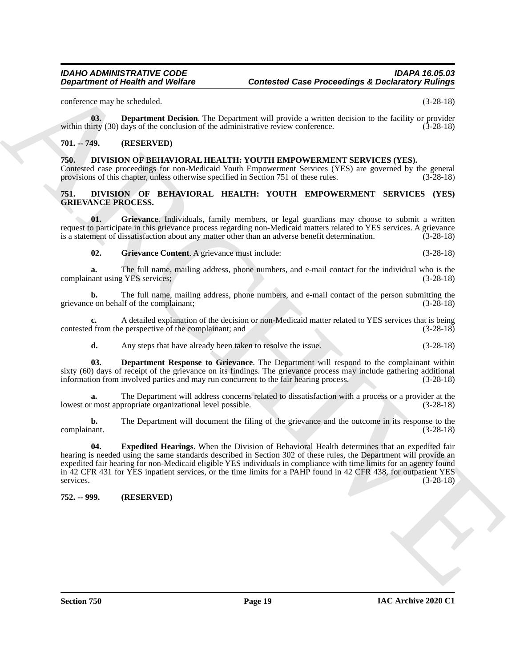conference may be scheduled. (3-28-18)

<span id="page-18-4"></span>**03. Department Decision**. The Department will provide a written decision to the facility or provider inty (30) days of the conclusion of the administrative review conference. (3-28-18) within thirty  $(30)$  days of the conclusion of the administrative review conference.

#### <span id="page-18-0"></span>**701. -- 749. (RESERVED)**

<span id="page-18-5"></span><span id="page-18-1"></span>**750. DIVISION OF BEHAVIORAL HEALTH: YOUTH EMPOWERMENT SERVICES (YES).** Contested case proceedings for non-Medicaid Youth Empowerment Services (YES) are governed by the general provisions of this chapter, unless otherwise specified in Section 751 of these rules. (3-28-18)

#### <span id="page-18-6"></span><span id="page-18-2"></span>**751. DIVISION OF BEHAVIORAL HEALTH: YOUTH EMPOWERMENT SERVICES (YES) GRIEVANCE PROCESS.**

**01. Grievance**. Individuals, family members, or legal guardians may choose to submit a written request to participate in this grievance process regarding non-Medicaid matters related to YES services. A grievance<br>is a statement of dissatisfaction about any matter other than an adverse benefit determination. (3-28-18) is a statement of dissatisfaction about any matter other than an adverse benefit determination.

<span id="page-18-10"></span><span id="page-18-9"></span>**02. Grievance Content**. A grievance must include: (3-28-18)

**a.** The full name, mailing address, phone numbers, and e-mail contact for the individual who is the nant using YES services; (3-28-18) complainant using YES services;

**b.** The full name, mailing address, phone numbers, and e-mail contact of the person submitting the grievance on behalf of the complainant; (3-28-18)

**c.** A detailed explanation of the decision or non-Medicaid matter related to YES services that is being 1 from the perspective of the complainant; and (3-28-18) contested from the perspective of the complainant; and

<span id="page-18-7"></span>**d.** Any steps that have already been taken to resolve the issue. (3-28-18)

**03. Department Response to Grievance**. The Department will respond to the complainant within sixty (60) days of receipt of the grievance on its findings. The grievance process may include gathering additional information from involved parties and may run concurrent to the fair hearing process. (3-28-18)

**a.** The Department will address concerns related to dissatisfaction with a process or a provider at the reprosed reprosed to the reprosedured research at the concerns related to dissatisfaction with a process or a provide lowest or most appropriate organizational level possible.

<span id="page-18-8"></span>**b.** The Department will document the filing of the grievance and the outcome in its response to the  $(3-28-18)$ complainant.

Department of Health was Wolfare<br>
contented Gase Proceedings & Declinion of Ningari<br>
collection in the collection of the collection of the collection of the first example of the collection of the collection of the collect **04. Expedited Hearings**. When the Division of Behavioral Health determines that an expedited fair hearing is needed using the same standards described in Section 302 of these rules, the Department will provide an expedited fair hearing for non-Medicaid eligible YES individuals in compliance with time limits for an agency found in 42 CFR 431 for YES inpatient services, or the time limits for a PAHP found in 42 CFR 438, for outpatient YES services. (3-28-18)

<span id="page-18-3"></span>**752. -- 999. (RESERVED)**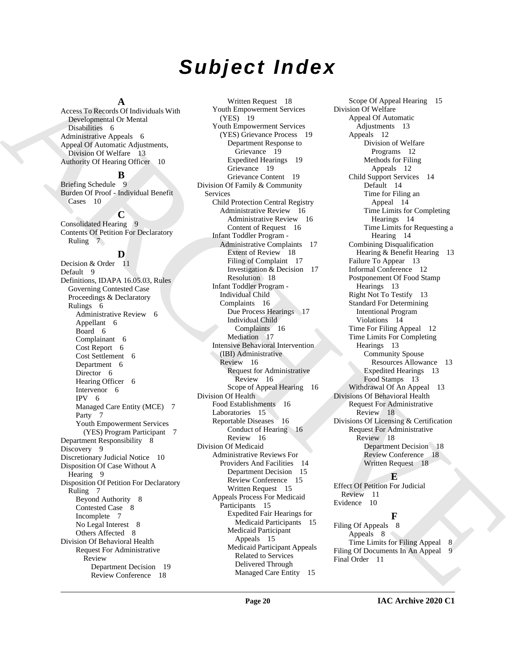# *Subject Index*

#### **A**

Access To Records Of Individuals With Developmental Or Mental Disabilities 6 Administrative Appeals 6 Appeal Of Automatic Adjustments, Division Of Welfare 13 Authority Of Hearing Officer 10

#### **B**

Briefing Schedule 9 Burden Of Proof - Individual Benefit Cases 10

# **C**

Consolidated Hearing 9 Contents Of Petition For Declaratory Ruling 7

#### **D**

Decision & Order 11 Default 9 Definitions, IDAPA 16.05.03, Rules Governing Contested Case Proceedings & Declaratory Rulings 6 Administrative Review 6 Appellant 6 Board 6 Complainant 6 Cost Report 6 Cost Settlement 6 Department 6 Director 6 Hearing Officer 6 Intervenor 6 IPV 6 Managed Care Entity (MCE) 7 Party 7 Youth Empowerment Services (YES) Program Participant 7 Department Responsibility 8 Discovery 9 Discretionary Judicial Notice 10 Disposition Of Case Without A Hearing 9 Disposition Of Petition For Declaratory Ruling 7 Beyond Authority 8 Contested Case 8 Incomplete 7 No Legal Interest 8 Others Affected 8 Division Of Behavioral Health Request For Administrative Review Department Decision 19 Review Conference 18

[A](#page-5-7)nsari Tackmond The [C](#page-15-9)olumb Care is the second of the second of the second of the second of the second of the second of the second of the second of the second of the second of the second of the second of the second of the Written Request 18 Youth Empowerment Services (YES) 19 Youth Empowerment Services (YES) Grievance Process 19 Department Response to Grievance 19 Expedited Hearings 19 Grievance 19 Grievance Content 19 Division Of Family & Community Services Child Protection Central Registry Administrative Review 16 Administrative Review 16 Content of Request 16 Infant Toddler Program - Administrative Complaints 17 Extent of Review 18 Filing of Complaint 17 Investigation & Decision 17 Resolution 18 Infant Toddler Program - Individual Child Complaints 16 Due Process Hearings 17 Individual Child Complaints 16 Mediation 17 Intensive Behavioral Intervention (IBI) Administrative Review 16 Request for Administrative Review 16 Scope of Appeal Hearing 16 Division Of Health Food Establishments 16 Laboratories 15 Reportable Diseases 16 Conduct of Hearing 16 Review 16 Division Of Medicaid Administrative Reviews For Providers And Facilities 14 Department Decision 15 Review Conference 15 Written Request 15 Appeals Process For Medicaid Participants 15 Expedited Fair Hearings for Medicaid Participants 15 Medicaid Participant Appeals 15 Medicaid Participant Appeals Related to Services Delivered Through Managed Care Entity 15

Scope Of Appeal Hearing 15 Division Of Welfare Appeal Of Automatic Adjustments 13 Appeals 12 Division of Welfare Programs 12 Methods for Filing Appeals 12 Child Support Services 14 Default 14 Time for Filing an Appeal 14 Time Limits for Completing Hearings 14 Time Limits for Requesting a Hearing 14 Combining Disqualification Hearing & Benefit Hearing 13 Failure To Appear 13 Informal Conference 12 Postponement Of Food Stamp Hearings 13 Right Not To Testify 13 Standard For Determining Intentional Program Violations 14 Time For Filing Appeal 12 Time Limits For Completing Hearings 13 Community Spouse Resources Allowance 13 Expedited Hearings 13 Food Stamps 13 Withdrawal Of An Appeal 13 Divisions Of Behavioral Health Request For Administrative Review 18 Divisions Of Licensing & Certification Request For Administrative Review 18 Department Decision 18 Review Conference 18 Written Request 18

**E** Effect Of Petition For Judicial Review 11 Evidence 10

# **F**

Filing Of Appeals 8 Appeals 8 Time Limits for Filing Appeal 8 Filing Of Documents In An Appeal Final Order 11